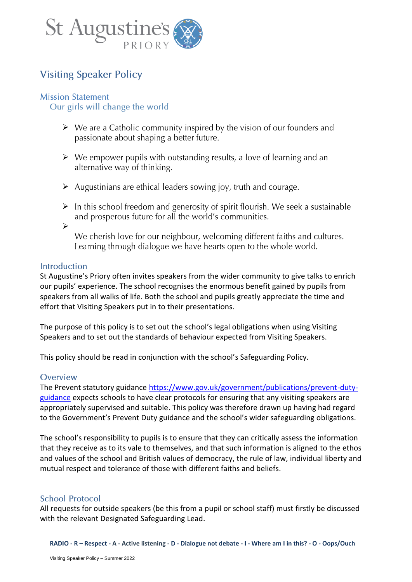

# **Visiting Speaker Policy**

### **Mission Statement**

Our girls will change the world

- $\triangleright$  We are a Catholic community inspired by the vision of our founders and passionate about shaping a better future.
- $\triangleright$  We empower pupils with outstanding results, a love of learning and an alternative way of thinking.
- $\triangleright$  Augustinians are ethical leaders sowing joy, truth and courage.
- $\triangleright$  In this school freedom and generosity of spirit flourish. We seek a sustainable and prosperous future for all the world's communities.
- ➢

We cherish love for our neighbour, welcoming different faiths and cultures. Learning through dialogue we have hearts open to the whole world.

### **Introduction**

St Augustine's Priory often invites speakers from the wider community to give talks to enrich our pupils' experience. The school recognises the enormous benefit gained by pupils from speakers from all walks of life. Both the school and pupils greatly appreciate the time and effort that Visiting Speakers put in to their presentations.

The purpose of this policy is to set out the school's legal obligations when using Visiting Speakers and to set out the standards of behaviour expected from Visiting Speakers.

This policy should be read in conjunction with the school's Safeguarding Policy.

#### Overview

The Prevent statutory guidance [https://www.gov.uk/government/publications/prevent-duty](https://www.gov.uk/government/publications/prevent-duty-guidance)[guidance](https://www.gov.uk/government/publications/prevent-duty-guidance) expects schools to have clear protocols for ensuring that any visiting speakers are appropriately supervised and suitable. This policy was therefore drawn up having had regard to the Government's Prevent Duty guidance and the school's wider safeguarding obligations.

The school's responsibility to pupils is to ensure that they can critically assess the information that they receive as to its vale to themselves, and that such information is aligned to the ethos and values of the school and British values of democracy, the rule of law, individual liberty and mutual respect and tolerance of those with different faiths and beliefs.

### **School Protocol**

All requests for outside speakers (be this from a pupil or school staff) must firstly be discussed with the relevant Designated Safeguarding Lead.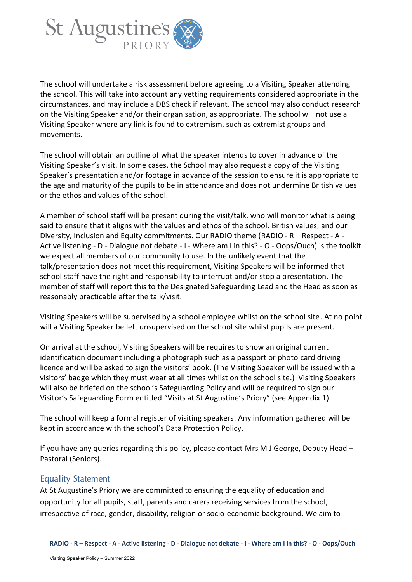

The school will undertake a risk assessment before agreeing to a Visiting Speaker attending the school. This will take into account any vetting requirements considered appropriate in the circumstances, and may include a DBS check if relevant. The school may also conduct research on the Visiting Speaker and/or their organisation, as appropriate. The school will not use a Visiting Speaker where any link is found to extremism, such as extremist groups and movements.

The school will obtain an outline of what the speaker intends to cover in advance of the Visiting Speaker's visit. In some cases, the School may also request a copy of the Visiting Speaker's presentation and/or footage in advance of the session to ensure it is appropriate to the age and maturity of the pupils to be in attendance and does not undermine British values or the ethos and values of the school.

A member of school staff will be present during the visit/talk, who will monitor what is being said to ensure that it aligns with the values and ethos of the school. British values, and our Diversity, Inclusion and Equity commitments. Our RADIO theme (RADIO - R – Respect - A - Active listening - D - Dialogue not debate - I - Where am I in this? - O - Oops/Ouch) is the toolkit we expect all members of our community to use. In the unlikely event that the talk/presentation does not meet this requirement, Visiting Speakers will be informed that school staff have the right and responsibility to interrupt and/or stop a presentation. The member of staff will report this to the Designated Safeguarding Lead and the Head as soon as reasonably practicable after the talk/visit.

Visiting Speakers will be supervised by a school employee whilst on the school site. At no point will a Visiting Speaker be left unsupervised on the school site whilst pupils are present.

On arrival at the school, Visiting Speakers will be requires to show an original current identification document including a photograph such as a passport or photo card driving licence and will be asked to sign the visitors' book. (The Visiting Speaker will be issued with a visitors' badge which they must wear at all times whilst on the school site.) Visiting Speakers will also be briefed on the school's Safeguarding Policy and will be required to sign our Visitor's Safeguarding Form entitled "Visits at St Augustine's Priory" (see Appendix 1).

The school will keep a formal register of visiting speakers. Any information gathered will be kept in accordance with the school's Data Protection Policy.

If you have any queries regarding this policy, please contact Mrs M J George, Deputy Head – Pastoral (Seniors).

#### **Equality Statement**

At St Augustine's Priory we are committed to ensuring the equality of education and opportunity for all pupils, staff, parents and carers receiving services from the school, irrespective of race, gender, disability, religion or socio-economic background. We aim to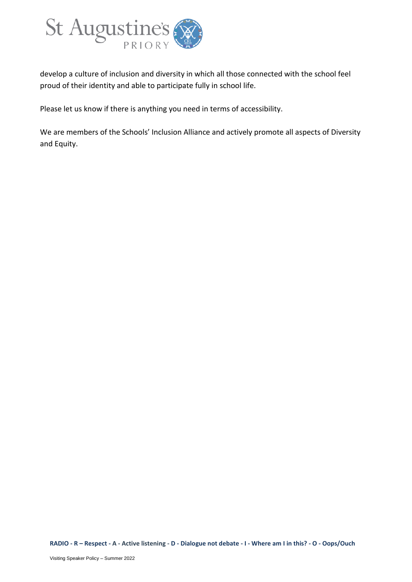

develop a culture of inclusion and diversity in which all those connected with the school feel proud of their identity and able to participate fully in school life.

Please let us know if there is anything you need in terms of accessibility.

We are members of the Schools' Inclusion Alliance and actively promote all aspects of Diversity and Equity.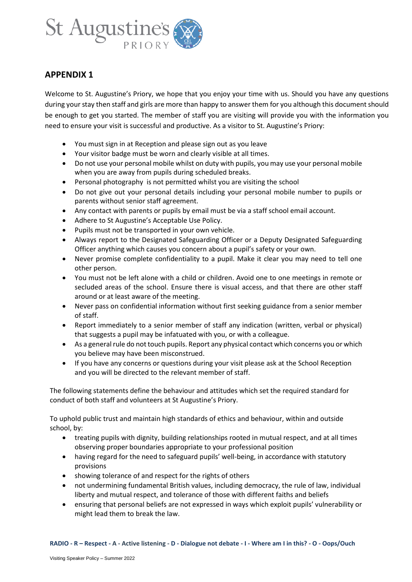

Welcome to St. Augustine's Priory, we hope that you enjoy your time with us. Should you have any questions during your stay then staff and girls are more than happy to answer them for you although this document should be enough to get you started. The member of staff you are visiting will provide you with the information you need to ensure your visit is successful and productive. As a visitor to St. Augustine's Priory:

- You must sign in at Reception and please sign out as you leave
- Your visitor badge must be worn and clearly visible at all times.
- Do not use your personal mobile whilst on duty with pupils, you may use your personal mobile when you are away from pupils during scheduled breaks.
- Personal photography is not permitted whilst you are visiting the school
- Do not give out your personal details including your personal mobile number to pupils or parents without senior staff agreement.
- Any contact with parents or pupils by email must be via a staff school email account.
- Adhere to St Augustine's Acceptable Use Policy.
- Pupils must not be transported in your own vehicle.
- Always report to the Designated Safeguarding Officer or a Deputy Designated Safeguarding Officer anything which causes you concern about a pupil's safety or your own.
- Never promise complete confidentiality to a pupil. Make it clear you may need to tell one other person.
- You must not be left alone with a child or children. Avoid one to one meetings in remote or secluded areas of the school. Ensure there is visual access, and that there are other staff around or at least aware of the meeting.
- Never pass on confidential information without first seeking guidance from a senior member of staff.
- Report immediately to a senior member of staff any indication (written, verbal or physical) that suggests a pupil may be infatuated with you, or with a colleague.
- As a general rule do not touch pupils. Report any physical contact which concerns you or which you believe may have been misconstrued.
- If you have any concerns or questions during your visit please ask at the School Reception and you will be directed to the relevant member of staff.

The following statements define the behaviour and attitudes which set the required standard for conduct of both staff and volunteers at St Augustine's Priory.

To uphold public trust and maintain high standards of ethics and behaviour, within and outside school, by:

- treating pupils with dignity, building relationships rooted in mutual respect, and at all times observing proper boundaries appropriate to your professional position
- having regard for the need to safeguard pupils' well-being, in accordance with statutory provisions
- showing tolerance of and respect for the rights of others
- not undermining fundamental British values, including democracy, the rule of law, individual liberty and mutual respect, and tolerance of those with different faiths and beliefs
- ensuring that personal beliefs are not expressed in ways which exploit pupils' vulnerability or might lead them to break the law.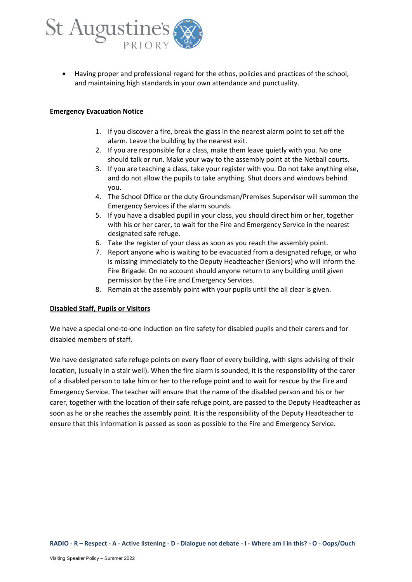

• Having proper and professional regard for the ethos, policies and practices of the school, and maintaining high standards in your own attendance and punctuality.

#### **Emergency Evacuation Notice**

- 1. If you discover a fire, break the glass in the nearest alarm point to set off the alarm. Leave the building by the nearest exit.
- 2. If you are responsible for a class, make them leave quietly with you. No one should talk or run. Make your way to the assembly point at the Netball courts.
- 3. If you are teaching a class, take your register with you. Do not take anything else, and do not allow the pupils to take anything. Shut doors and windows behind you.
- 4. The School Office or the duty Groundsman/Premises Supervisor will summon the Emergency Services if the alarm sounds.
- 5. If you have a disabled pupil in your class, you should direct him or her, together with his or her carer, to wait for the Fire and Emergency Service in the nearest designated safe refuge.
- 6. Take the register of your class as soon as you reach the assembly point.
- 7. Report anyone who is waiting to be evacuated from a designated refuge, or who is missing immediately to the Deputy Headteacher (Seniors) who will inform the Fire Brigade. On no account should anyone return to any building until given permission by the Fire and Emergency Services.
- 8. Remain at the assembly point with your pupils until the all clear is given.

#### **Disabled Staff, Pupils or Visitors**

We have a special one-to-one induction on fire safety for disabled pupils and their carers and for disabled members of staff.

We have designated safe refuge points on every floor of every building, with signs advising of their location, (usually in a stair well). When the fire alarm is sounded, it is the responsibility of the carer of a disabled person to take him or her to the refuge point and to wait for rescue by the Fire and Emergency Service. The teacher will ensure that the name of the disabled person and his or her carer, together with the location of their safe refuge point, are passed to the Deputy Headteacher as soon as he or she reaches the assembly point. It is the responsibility of the Deputy Headteacher to ensure that this information is passed as soon as possible to the Fire and Emergency Service.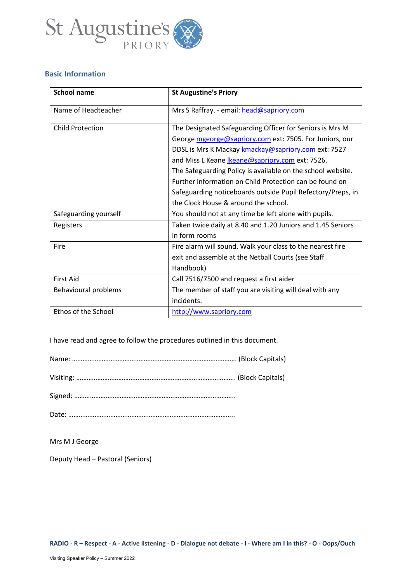

#### **Basic Information**

| <b>School name</b>      | <b>St Augustine's Priory</b>                                |
|-------------------------|-------------------------------------------------------------|
| Name of Headteacher     | Mrs S Raffray. - email: head@sapriory.com                   |
| <b>Child Protection</b> | The Designated Safeguarding Officer for Seniors is Mrs M    |
|                         | George mgeorge@sapriory.com ext: 7505. For Juniors, our     |
|                         | DDSL is Mrs K Mackay kmackay@sapriory.com ext: 7527         |
|                         | and Miss L Keane Ikeane@sapriory.com ext: 7526.             |
|                         | The Safeguarding Policy is available on the school website. |
|                         | Further information on Child Protection can be found on     |
|                         | Safeguarding noticeboards outside Pupil Refectory/Preps, in |
|                         | the Clock House & around the school.                        |
| Safeguarding yourself   | You should not at any time be left alone with pupils.       |
| Registers               | Taken twice daily at 8.40 and 1.20 Juniors and 1.45 Seniors |
|                         | in form rooms                                               |
| Fire                    | Fire alarm will sound. Walk your class to the nearest fire  |
|                         | exit and assemble at the Netball Courts (see Staff          |
|                         | Handbook)                                                   |
| <b>First Aid</b>        | Call 7516/7500 and request a first aider                    |
| Behavioural problems    | The member of staff you are visiting will deal with any     |
|                         | incidents.                                                  |
| Ethos of the School     | http://www.sapriory.com                                     |

I have read and agree to follow the procedures outlined in this document.

Signed: ………………………………………………………………………………..

Date: …………………………………………………………………………………..

Mrs M J George

Deputy Head – Pastoral (Seniors)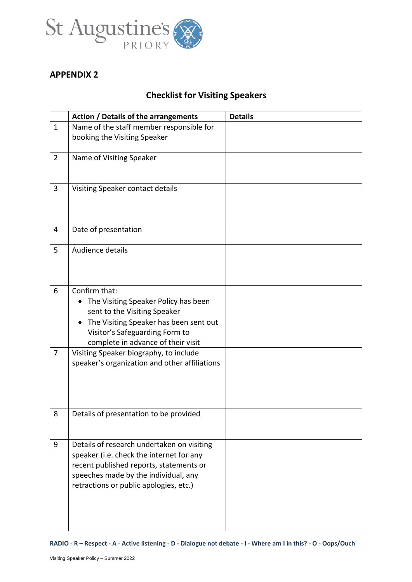

# **Checklist for Visiting Speakers**

|                | Action / Details of the arrangements                                                                                                                                                                                | <b>Details</b> |
|----------------|---------------------------------------------------------------------------------------------------------------------------------------------------------------------------------------------------------------------|----------------|
| $\mathbf{1}$   | Name of the staff member responsible for                                                                                                                                                                            |                |
|                | booking the Visiting Speaker                                                                                                                                                                                        |                |
| $\overline{2}$ | Name of Visiting Speaker                                                                                                                                                                                            |                |
| 3              | Visiting Speaker contact details                                                                                                                                                                                    |                |
| 4              | Date of presentation                                                                                                                                                                                                |                |
| 5              | Audience details                                                                                                                                                                                                    |                |
| 6              | Confirm that:<br>The Visiting Speaker Policy has been<br>sent to the Visiting Speaker<br>The Visiting Speaker has been sent out<br>Visitor's Safeguarding Form to<br>complete in advance of their visit             |                |
| 7              | Visiting Speaker biography, to include<br>speaker's organization and other affiliations                                                                                                                             |                |
| 8              | Details of presentation to be provided                                                                                                                                                                              |                |
| 9              | Details of research undertaken on visiting<br>speaker (i.e. check the internet for any<br>recent published reports, statements or<br>speeches made by the individual, any<br>retractions or public apologies, etc.) |                |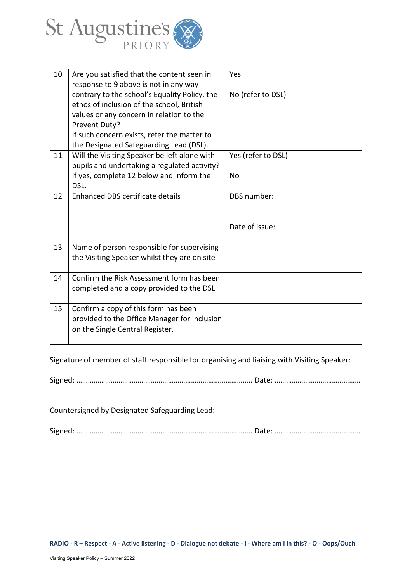

| 10 | Are you satisfied that the content seen in    | Yes                |
|----|-----------------------------------------------|--------------------|
|    | response to 9 above is not in any way         |                    |
|    | contrary to the school's Equality Policy, the | No (refer to DSL)  |
|    | ethos of inclusion of the school, British     |                    |
|    | values or any concern in relation to the      |                    |
|    | Prevent Duty?                                 |                    |
|    | If such concern exists, refer the matter to   |                    |
|    | the Designated Safeguarding Lead (DSL).       |                    |
| 11 | Will the Visiting Speaker be left alone with  | Yes (refer to DSL) |
|    | pupils and undertaking a regulated activity?  |                    |
|    | If yes, complete 12 below and inform the      | No                 |
|    | DSL.                                          |                    |
| 12 | Enhanced DBS certificate details              | DBS number:        |
|    |                                               |                    |
|    |                                               |                    |
|    |                                               | Date of issue:     |
|    |                                               |                    |
| 13 | Name of person responsible for supervising    |                    |
|    | the Visiting Speaker whilst they are on site  |                    |
|    |                                               |                    |
| 14 | Confirm the Risk Assessment form has been     |                    |
|    | completed and a copy provided to the DSL      |                    |
|    |                                               |                    |
| 15 | Confirm a copy of this form has been          |                    |
|    | provided to the Office Manager for inclusion  |                    |
|    | on the Single Central Register.               |                    |
|    |                                               |                    |
|    |                                               |                    |

Signature of member of staff responsible for organising and liaising with Visiting Speaker:

Signed: ……………………………………………………………………………….. Date: ………………………………………

Countersigned by Designated Safeguarding Lead:

Signed: ……………………………………………………………………………….. Date: ………………………………………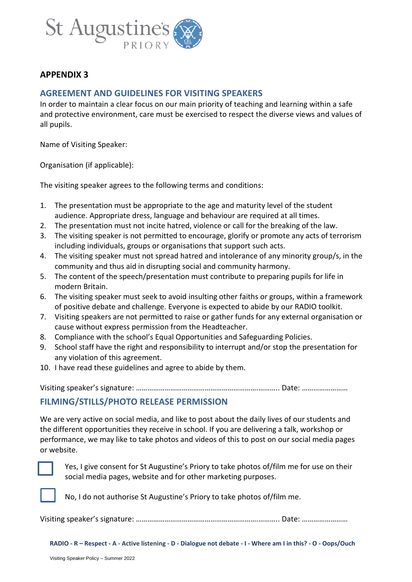

### **AGREEMENT AND GUIDELINES FOR VISITING SPEAKERS**

In order to maintain a clear focus on our main priority of teaching and learning within a safe and protective environment, care must be exercised to respect the diverse views and values of all pupils.

Name of Visiting Speaker:

Organisation (if applicable):

The visiting speaker agrees to the following terms and conditions:

- 1. The presentation must be appropriate to the age and maturity level of the student audience. Appropriate dress, language and behaviour are required at all times.
- 2. The presentation must not incite hatred, violence or call for the breaking of the law.
- 3. The visiting speaker is not permitted to encourage, glorify or promote any acts of terrorism including individuals, groups or organisations that support such acts.
- 4. The visiting speaker must not spread hatred and intolerance of any minority group/s, in the community and thus aid in disrupting social and community harmony.
- 5. The content of the speech/presentation must contribute to preparing pupils for life in modern Britain.
- 6. The visiting speaker must seek to avoid insulting other faiths or groups, within a framework of positive debate and challenge. Everyone is expected to abide by our RADIO toolkit.
- 7. Visiting speakers are not permitted to raise or gather funds for any external organisation or cause without express permission from the Headteacher.
- 8. Compliance with the school's Equal Opportunities and Safeguarding Policies.
- 9. School staff have the right and responsibility to interrupt and/or stop the presentation for any violation of this agreement.
- 10. I have read these guidelines and agree to abide by them.

Visiting speaker's signature: ……………………………………………………….……….. Date: ……………………

### **FILMING/STILLS/PHOTO RELEASE PERMISSION**

We are very active on social media, and like to post about the daily lives of our students and the different opportunities they receive in school. If you are delivering a talk, workshop or performance, we may like to take photos and videos of this to post on our social media pages or website.



Yes, I give consent for St Augustine's Priory to take photos of/film me for use on their social media pages, website and for other marketing purposes.



No, I do not authorise St Augustine's Priory to take photos of/film me.

Visiting speaker's signature: ……………………………………………………….……….. Date: ……………………